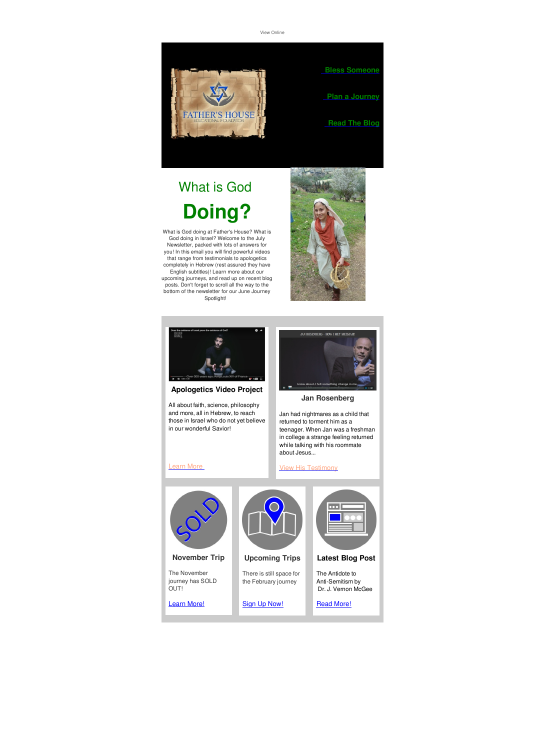View [Online]({VR_HOSTED_LINK})



# What is God **Doing?**

What is God doing at Father's House? What is God doing in Israel? Welcome to the July Newsletter, packed with lots of answers for you! In this email you will find powerful videos that range from testimonials to apologetics completely in Hebrew (rest assured they have English subtitles)! Learn more about our upcoming journeys, and read up on recent blog posts. Don't forget to scroll all the way to the bottom of the newsletter for our June Journey Spotlight!





#### **Apologetics Video Project**

All about faith, science, philosophy and more, all in Hebrew, to reach those in Israel who do not yet believe in our wonderful Savior!



#### **Jan Rosenberg**

Jan had nightmares as a child that returned to torment him as a teenager. When Jan was a freshman